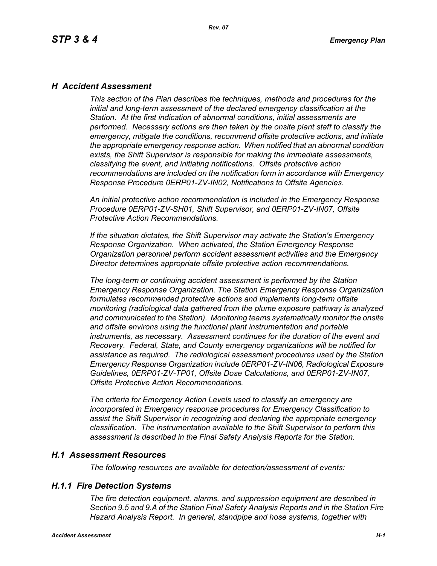### *H Accident Assessment*

*This section of the Plan describes the techniques, methods and procedures for the initial and long-term assessment of the declared emergency classification at the Station. At the first indication of abnormal conditions, initial assessments are performed. Necessary actions are then taken by the onsite plant staff to classify the emergency, mitigate the conditions, recommend offsite protective actions, and initiate the appropriate emergency response action. When notified that an abnormal condition exists, the Shift Supervisor is responsible for making the immediate assessments, classifying the event, and initiating notifications. Offsite protective action recommendations are included on the notification form in accordance with Emergency Response Procedure 0ERP01-ZV-IN02, Notifications to Offsite Agencies.*

*An initial protective action recommendation is included in the Emergency Response Procedure 0ERP01-ZV-SH01, Shift Supervisor, and 0ERP01-ZV-IN07, Offsite Protective Action Recommendations.*

*If the situation dictates, the Shift Supervisor may activate the Station's Emergency Response Organization. When activated, the Station Emergency Response Organization personnel perform accident assessment activities and the Emergency Director determines appropriate offsite protective action recommendations.*

*The long-term or continuing accident assessment is performed by the Station Emergency Response Organization. The Station Emergency Response Organization formulates recommended protective actions and implements long-term offsite monitoring (radiological data gathered from the plume exposure pathway is analyzed and communicated to the Station). Monitoring teams systematically monitor the onsite and offsite environs using the functional plant instrumentation and portable instruments, as necessary. Assessment continues for the duration of the event and Recovery. Federal, State, and County emergency organizations will be notified for assistance as required. The radiological assessment procedures used by the Station Emergency Response Organization include 0ERP01-ZV-IN06, Radiological Exposure Guidelines, 0ERP01-ZV-TP01, Offsite Dose Calculations, and 0ERP01-ZV-IN07, Offsite Protective Action Recommendations.*

*The criteria for Emergency Action Levels used to classify an emergency are incorporated in Emergency response procedures for Emergency Classification to assist the Shift Supervisor in recognizing and declaring the appropriate emergency classification. The instrumentation available to the Shift Supervisor to perform this assessment is described in the Final Safety Analysis Reports for the Station.*

### *H.1 Assessment Resources*

*The following resources are available for detection/assessment of events:*

### *H.1.1 Fire Detection Systems*

*The fire detection equipment, alarms, and suppression equipment are described in Section 9.5 and 9.A of the Station Final Safety Analysis Reports and in the Station Fire Hazard Analysis Report. In general, standpipe and hose systems, together with*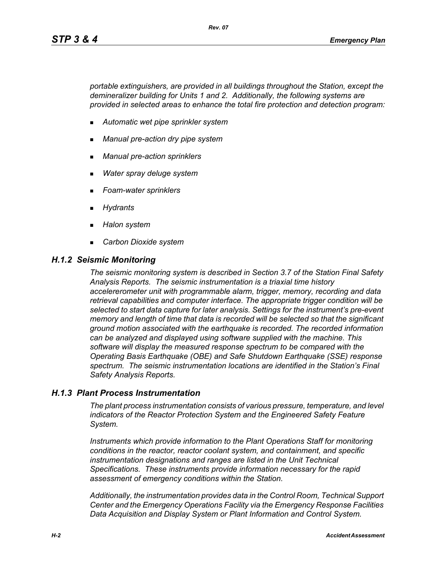*portable extinguishers, are provided in all buildings throughout the Station, except the demineralizer building for Units 1 and 2. Additionally, the following systems are provided in selected areas to enhance the total fire protection and detection program:*

- *Automatic wet pipe sprinkler system*
- *Manual pre-action dry pipe system*
- *Manual pre-action sprinklers*
- *Water spray deluge system*
- *Foam-water sprinklers*
- *Hydrants*
- *Halon system*
- *Carbon Dioxide system*

#### *H.1.2 Seismic Monitoring*

*The seismic monitoring system is described in Section 3.7 of the Station Final Safety Analysis Reports. The seismic instrumentation is a triaxial time history accelererometer unit with programmable alarm, trigger, memory, recording and data retrieval capabilities and computer interface. The appropriate trigger condition will be selected to start data capture for later analysis. Settings for the instrument's pre-event memory and length of time that data is recorded will be selected so that the significant ground motion associated with the earthquake is recorded. The recorded information can be analyzed and displayed using software supplied with the machine. This software will display the measured response spectrum to be compared with the Operating Basis Earthquake (OBE) and Safe Shutdown Earthquake (SSE) response spectrum. The seismic instrumentation locations are identified in the Station's Final Safety Analysis Reports.*

### *H.1.3 Plant Process Instrumentation*

*The plant process instrumentation consists of various pressure, temperature, and level indicators of the Reactor Protection System and the Engineered Safety Feature System.*

*Instruments which provide information to the Plant Operations Staff for monitoring conditions in the reactor, reactor coolant system, and containment, and specific instrumentation designations and ranges are listed in the Unit Technical Specifications. These instruments provide information necessary for the rapid assessment of emergency conditions within the Station.*

*Additionally, the instrumentation provides data in the Control Room, Technical Support Center and the Emergency Operations Facility via the Emergency Response Facilities Data Acquisition and Display System or Plant Information and Control System.*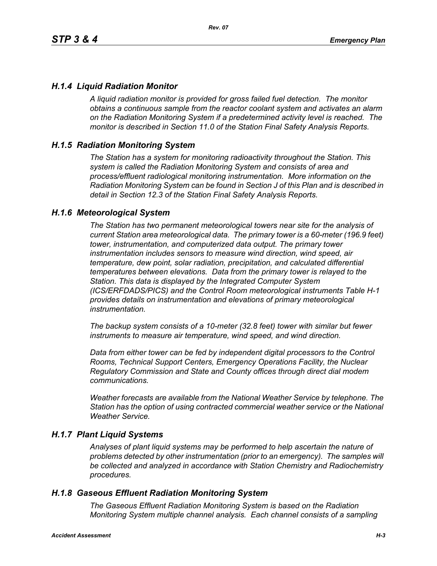## *H.1.4 Liquid Radiation Monitor*

*A liquid radiation monitor is provided for gross failed fuel detection. The monitor obtains a continuous sample from the reactor coolant system and activates an alarm on the Radiation Monitoring System if a predetermined activity level is reached. The monitor is described in Section 11.0 of the Station Final Safety Analysis Reports.*

### *H.1.5 Radiation Monitoring System*

*The Station has a system for monitoring radioactivity throughout the Station. This system is called the Radiation Monitoring System and consists of area and process/effluent radiological monitoring instrumentation. More information on the Radiation Monitoring System can be found in Section J of this Plan and is described in detail in Section 12.3 of the Station Final Safety Analysis Reports.*

### *H.1.6 Meteorological System*

*The Station has two permanent meteorological towers near site for the analysis of current Station area meteorological data. The primary tower is a 60-meter (196.9 feet) tower, instrumentation, and computerized data output. The primary tower instrumentation includes sensors to measure wind direction, wind speed, air temperature, dew point, solar radiation, precipitation, and calculated differential temperatures between elevations. Data from the primary tower is relayed to the Station. This data is displayed by the Integrated Computer System (ICS/ERFDADS/PICS) and the Control Room meteorological instruments Table H-1 provides details on instrumentation and elevations of primary meteorological instrumentation.*

*The backup system consists of a 10-meter (32.8 feet) tower with similar but fewer instruments to measure air temperature, wind speed, and wind direction.*

*Data from either tower can be fed by independent digital processors to the Control Rooms, Technical Support Centers, Emergency Operations Facility, the Nuclear Regulatory Commission and State and County offices through direct dial modem communications.* 

*Weather forecasts are available from the National Weather Service by telephone. The Station has the option of using contracted commercial weather service or the National Weather Service.*

### *H.1.7 Plant Liquid Systems*

*Analyses of plant liquid systems may be performed to help ascertain the nature of problems detected by other instrumentation (prior to an emergency). The samples will be collected and analyzed in accordance with Station Chemistry and Radiochemistry procedures.*

### *H.1.8 Gaseous Effluent Radiation Monitoring System*

*The Gaseous Effluent Radiation Monitoring System is based on the Radiation Monitoring System multiple channel analysis. Each channel consists of a sampling*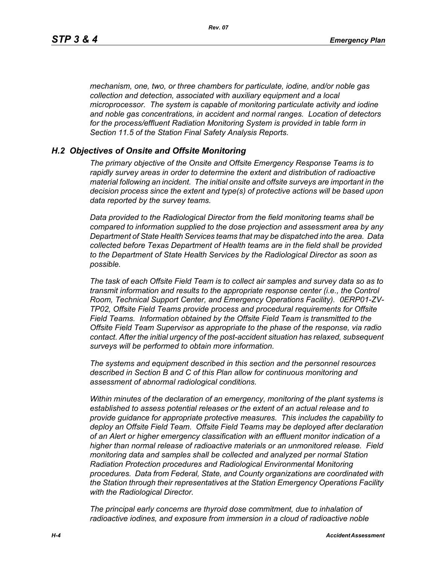*mechanism, one, two, or three chambers for particulate, iodine, and/or noble gas collection and detection, associated with auxiliary equipment and a local microprocessor. The system is capable of monitoring particulate activity and iodine and noble gas concentrations, in accident and normal ranges. Location of detectors for the process/effluent Radiation Monitoring System is provided in table form in Section 11.5 of the Station Final Safety Analysis Reports.* 

#### *H.2 Objectives of Onsite and Offsite Monitoring*

*The primary objective of the Onsite and Offsite Emergency Response Teams is to rapidly survey areas in order to determine the extent and distribution of radioactive material following an incident. The initial onsite and offsite surveys are important in the decision process since the extent and type(s) of protective actions will be based upon data reported by the survey teams.*

*Data provided to the Radiological Director from the field monitoring teams shall be compared to information supplied to the dose projection and assessment area by any Department of State Health Services teams that may be dispatched into the area. Data collected before Texas Department of Health teams are in the field shall be provided to the Department of State Health Services by the Radiological Director as soon as possible.*

*The task of each Offsite Field Team is to collect air samples and survey data so as to transmit information and results to the appropriate response center (i.e., the Control Room, Technical Support Center, and Emergency Operations Facility). 0ERP01-ZV-TP02, Offsite Field Teams provide process and procedural requirements for Offsite Field Teams. Information obtained by the Offsite Field Team is transmitted to the Offsite Field Team Supervisor as appropriate to the phase of the response, via radio contact. After the initial urgency of the post-accident situation has relaxed, subsequent surveys will be performed to obtain more information.*

*The systems and equipment described in this section and the personnel resources described in Section B and C of this Plan allow for continuous monitoring and assessment of abnormal radiological conditions.*

*Within minutes of the declaration of an emergency, monitoring of the plant systems is established to assess potential releases or the extent of an actual release and to provide guidance for appropriate protective measures. This includes the capability to deploy an Offsite Field Team. Offsite Field Teams may be deployed after declaration of an Alert or higher emergency classification with an effluent monitor indication of a higher than normal release of radioactive materials or an unmonitored release. Field monitoring data and samples shall be collected and analyzed per normal Station Radiation Protection procedures and Radiological Environmental Monitoring procedures. Data from Federal, State, and County organizations are coordinated with the Station through their representatives at the Station Emergency Operations Facility with the Radiological Director.*

*The principal early concerns are thyroid dose commitment, due to inhalation of radioactive iodines, and exposure from immersion in a cloud of radioactive noble*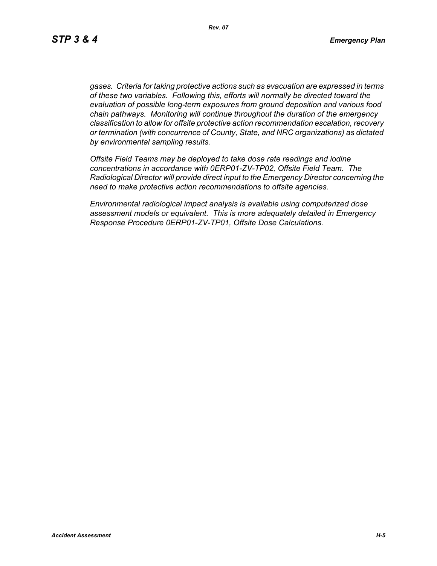*gases. Criteria for taking protective actions such as evacuation are expressed in terms of these two variables. Following this, efforts will normally be directed toward the evaluation of possible long-term exposures from ground deposition and various food chain pathways. Monitoring will continue throughout the duration of the emergency classification to allow for offsite protective action recommendation escalation, recovery or termination (with concurrence of County, State, and NRC organizations) as dictated by environmental sampling results.*

*Offsite Field Teams may be deployed to take dose rate readings and iodine concentrations in accordance with 0ERP01-ZV-TP02, Offsite Field Team. The Radiological Director will provide direct input to the Emergency Director concerning the need to make protective action recommendations to offsite agencies.* 

*Environmental radiological impact analysis is available using computerized dose assessment models or equivalent. This is more adequately detailed in Emergency Response Procedure 0ERP01-ZV-TP01, Offsite Dose Calculations.*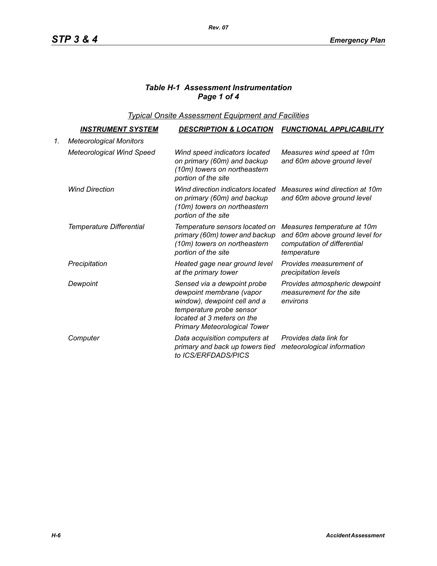# *Table H-1 Assessment Instrumentation Page 1 of 4*

*Typical Onsite Assessment Equipment and Facilities*

|    | <u>INSTRUMENT SYSTEM</u>         | <b>DESCRIPTION &amp; LOCATION</b>                                                                                                                                                        | <b>FUNCTIONAL APPLICABILITY</b>                                                                             |
|----|----------------------------------|------------------------------------------------------------------------------------------------------------------------------------------------------------------------------------------|-------------------------------------------------------------------------------------------------------------|
| 1. | <b>Meteorological Monitors</b>   |                                                                                                                                                                                          |                                                                                                             |
|    | <b>Meteorological Wind Speed</b> | Wind speed indicators located<br>on primary (60m) and backup<br>(10m) towers on northeastern<br>portion of the site                                                                      | Measures wind speed at 10m<br>and 60m above ground level                                                    |
|    | <b>Wind Direction</b>            | Wind direction indicators located<br>on primary (60m) and backup<br>(10m) towers on northeastern<br>portion of the site                                                                  | Measures wind direction at 10m<br>and 60m above ground level                                                |
|    | Temperature Differential         | Temperature sensors located on<br>primary (60m) tower and backup<br>(10m) towers on northeastern<br>portion of the site                                                                  | Measures temperature at 10m<br>and 60m above ground level for<br>computation of differential<br>temperature |
|    | Precipitation                    | Heated gage near ground level<br>at the primary tower                                                                                                                                    | Provides measurement of<br>precipitation levels                                                             |
|    | Dewpoint                         | Sensed via a dewpoint probe<br>dewpoint membrane (vapor<br>window), dewpoint cell and a<br>temperature probe sensor<br>located at 3 meters on the<br><b>Primary Meteorological Tower</b> | Provides atmospheric dewpoint<br>measurement for the site<br>environs                                       |
|    | Computer                         | Data acquisition computers at<br>primary and back up towers tied<br>to ICS/ERFDADS/PICS                                                                                                  | Provides data link for<br>meteorological information                                                        |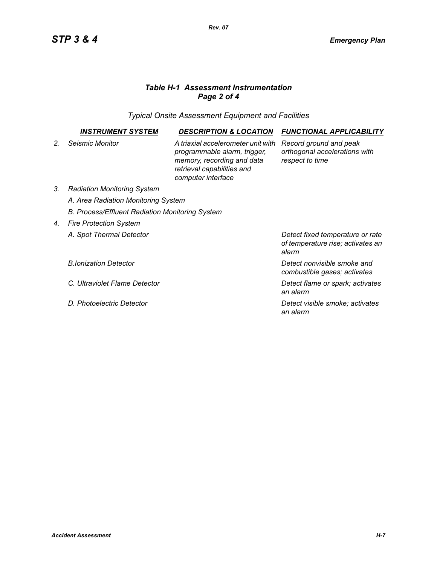# *Table H-1 Assessment Instrumentation Page 2 of 4*

*Typical Onsite Assessment Equipment and Facilities*

|                | <i><b>INSTRUMENT SYSTEM</b></i>                 | <b>DESCRIPTION &amp; LOCATION</b>                                                                                                                    | <b>FUNCTIONAL APPLICABILITY</b>                                                |  |  |
|----------------|-------------------------------------------------|------------------------------------------------------------------------------------------------------------------------------------------------------|--------------------------------------------------------------------------------|--|--|
| 2 <sub>1</sub> | Seismic Monitor                                 | A triaxial accelerometer unit with<br>programmable alarm, trigger,<br>memory, recording and data<br>retrieval capabilities and<br>computer interface | Record ground and peak<br>orthogonal accelerations with<br>respect to time     |  |  |
| 3.             | <b>Radiation Monitoring System</b>              |                                                                                                                                                      |                                                                                |  |  |
|                | A. Area Radiation Monitoring System             |                                                                                                                                                      |                                                                                |  |  |
|                | B. Process/Effluent Radiation Monitoring System |                                                                                                                                                      |                                                                                |  |  |
| 4.             | <b>Fire Protection System</b>                   |                                                                                                                                                      |                                                                                |  |  |
|                | A. Spot Thermal Detector                        |                                                                                                                                                      | Detect fixed temperature or rate<br>of temperature rise; activates an<br>alarm |  |  |
|                | <b>B.Ionization Detector</b>                    |                                                                                                                                                      | Detect nonvisible smoke and<br>combustible gases; activates                    |  |  |
|                | C. Ultraviolet Flame Detector                   |                                                                                                                                                      | Detect flame or spark; activates<br>an alarm                                   |  |  |
|                | D. Photoelectric Detector                       |                                                                                                                                                      | Detect visible smoke; activates<br>an alarm                                    |  |  |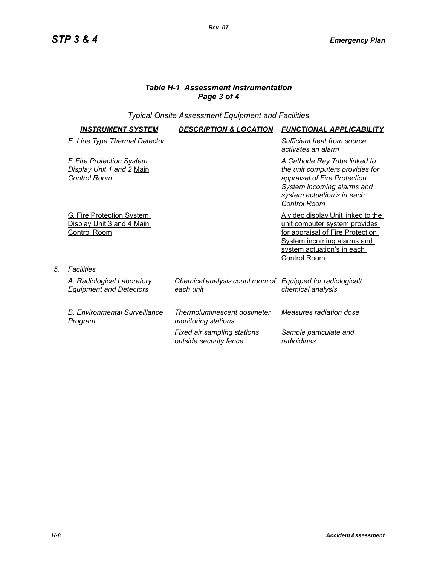## *Table H-1 Assessment Instrumentation Page 3 of 4*

## *Typical Onsite Assessment Equipment and Facilities*

| <b>INSTRUMENT SYSTEM</b>                                                             | <b>DESCRIPTION &amp; LOCATION</b>                                       | <b>FUNCTIONAL APPLICABILITY</b>                                                                                                                                                                    |
|--------------------------------------------------------------------------------------|-------------------------------------------------------------------------|----------------------------------------------------------------------------------------------------------------------------------------------------------------------------------------------------|
| E. Line Type Thermal Detector                                                        |                                                                         | Sufficient heat from source<br>activates an alarm                                                                                                                                                  |
| F. Fire Protection System<br>Display Unit 1 and 2 Main<br><b>Control Room</b>        |                                                                         | A Cathode Ray Tube linked to<br>the unit computers provides for<br>appraisal of Fire Protection<br>System incoming alarms and<br>system actuation's in each<br><b>Control Room</b>                 |
| <b>G. Fire Protection System</b><br>Display Unit 3 and 4 Main<br><b>Control Room</b> |                                                                         | <u>A video display Unit linked to the </u><br>unit computer system provides<br>for appraisal of Fire Protection<br><b>System incoming alarms and</b><br>system actuation's in each<br>Control Room |
| <b>Facilities</b>                                                                    |                                                                         |                                                                                                                                                                                                    |
| A. Radiological Laboratory<br><b>Equipment and Detectors</b>                         | Chemical analysis count room of Equipped for radiological/<br>each unit | chemical analysis                                                                                                                                                                                  |
| <b>B. Environmental Surveillance</b><br>Program                                      | Thermoluminescent dosimeter<br>monitoring stations                      | Measures radiation dose                                                                                                                                                                            |
|                                                                                      | Fixed air sampling stations<br>outside security fence                   | Sample particulate and<br>radioidines                                                                                                                                                              |

*5. Facilities*